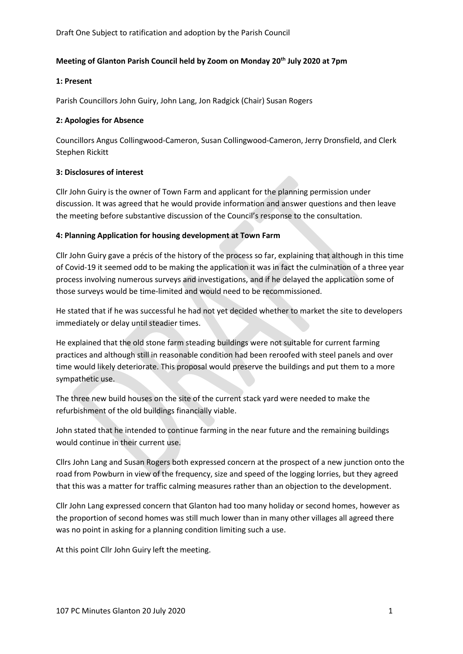Draft One Subject to ratification and adoption by the Parish Council

# **Meeting of Glanton Parish Council held by Zoom on Monday 20th July 2020 at 7pm**

### **1: Present**

Parish Councillors John Guiry, John Lang, Jon Radgick (Chair) Susan Rogers

#### **2: Apologies for Absence**

Councillors Angus Collingwood-Cameron, Susan Collingwood-Cameron, Jerry Dronsfield, and Clerk Stephen Rickitt

### **3: Disclosures of interest**

Cllr John Guiry is the owner of Town Farm and applicant for the planning permission under discussion. It was agreed that he would provide information and answer questions and then leave the meeting before substantive discussion of the Council's response to the consultation.

### **4: Planning Application for housing development at Town Farm**

Cllr John Guiry gave a précis of the history of the process so far, explaining that although in this time of Covid-19 it seemed odd to be making the application it was in fact the culmination of a three year process involving numerous surveys and investigations, and if he delayed the application some of those surveys would be time-limited and would need to be recommissioned.

He stated that if he was successful he had not yet decided whether to market the site to developers immediately or delay until steadier times.

He explained that the old stone farm steading buildings were not suitable for current farming practices and although still in reasonable condition had been reroofed with steel panels and over time would likely deteriorate. This proposal would preserve the buildings and put them to a more sympathetic use.

The three new build houses on the site of the current stack yard were needed to make the refurbishment of the old buildings financially viable.

John stated that he intended to continue farming in the near future and the remaining buildings would continue in their current use.

Cllrs John Lang and Susan Rogers both expressed concern at the prospect of a new junction onto the road from Powburn in view of the frequency, size and speed of the logging lorries, but they agreed that this was a matter for traffic calming measures rather than an objection to the development.

Cllr John Lang expressed concern that Glanton had too many holiday or second homes, however as the proportion of second homes was still much lower than in many other villages all agreed there was no point in asking for a planning condition limiting such a use.

At this point Cllr John Guiry left the meeting.